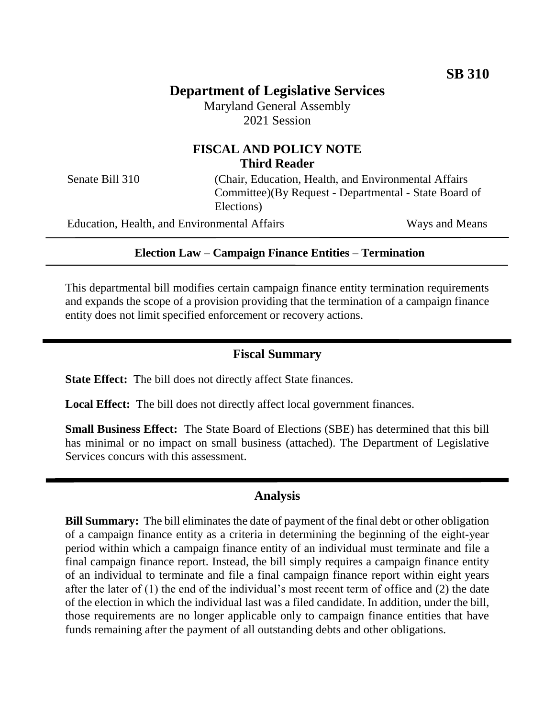# **Department of Legislative Services**

Maryland General Assembly 2021 Session

# **FISCAL AND POLICY NOTE Third Reader**

Senate Bill 310 (Chair, Education, Health, and Environmental Affairs Committee)(By Request - Departmental - State Board of Elections)

Education, Health, and Environmental Affairs Ways and Means

#### **Election Law – Campaign Finance Entities – Termination**

This departmental bill modifies certain campaign finance entity termination requirements and expands the scope of a provision providing that the termination of a campaign finance entity does not limit specified enforcement or recovery actions.

#### **Fiscal Summary**

**State Effect:** The bill does not directly affect State finances.

**Local Effect:** The bill does not directly affect local government finances.

**Small Business Effect:** The State Board of Elections (SBE) has determined that this bill has minimal or no impact on small business (attached). The Department of Legislative Services concurs with this assessment.

### **Analysis**

**Bill Summary:** The bill eliminates the date of payment of the final debt or other obligation of a campaign finance entity as a criteria in determining the beginning of the eight-year period within which a campaign finance entity of an individual must terminate and file a final campaign finance report. Instead, the bill simply requires a campaign finance entity of an individual to terminate and file a final campaign finance report within eight years after the later of (1) the end of the individual's most recent term of office and (2) the date of the election in which the individual last was a filed candidate. In addition, under the bill, those requirements are no longer applicable only to campaign finance entities that have funds remaining after the payment of all outstanding debts and other obligations.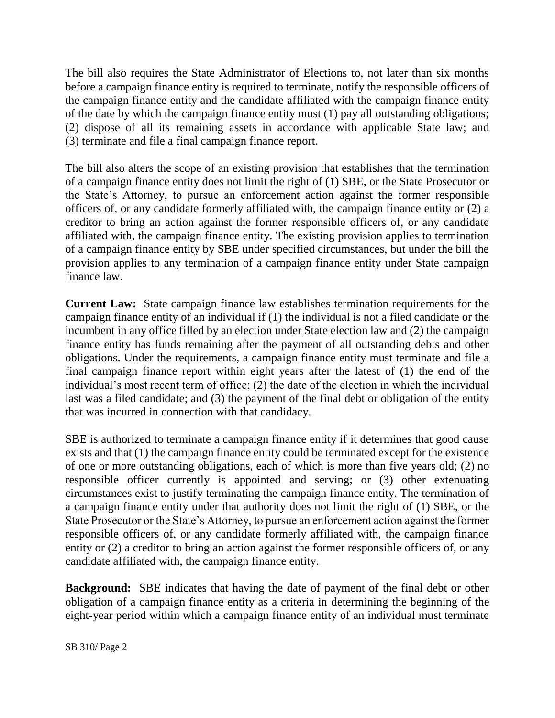The bill also requires the State Administrator of Elections to, not later than six months before a campaign finance entity is required to terminate, notify the responsible officers of the campaign finance entity and the candidate affiliated with the campaign finance entity of the date by which the campaign finance entity must (1) pay all outstanding obligations; (2) dispose of all its remaining assets in accordance with applicable State law; and (3) terminate and file a final campaign finance report.

The bill also alters the scope of an existing provision that establishes that the termination of a campaign finance entity does not limit the right of (1) SBE, or the State Prosecutor or the State's Attorney, to pursue an enforcement action against the former responsible officers of, or any candidate formerly affiliated with, the campaign finance entity or (2) a creditor to bring an action against the former responsible officers of, or any candidate affiliated with, the campaign finance entity. The existing provision applies to termination of a campaign finance entity by SBE under specified circumstances, but under the bill the provision applies to any termination of a campaign finance entity under State campaign finance law.

**Current Law:** State campaign finance law establishes termination requirements for the campaign finance entity of an individual if (1) the individual is not a filed candidate or the incumbent in any office filled by an election under State election law and (2) the campaign finance entity has funds remaining after the payment of all outstanding debts and other obligations. Under the requirements, a campaign finance entity must terminate and file a final campaign finance report within eight years after the latest of (1) the end of the individual's most recent term of office; (2) the date of the election in which the individual last was a filed candidate; and (3) the payment of the final debt or obligation of the entity that was incurred in connection with that candidacy.

SBE is authorized to terminate a campaign finance entity if it determines that good cause exists and that (1) the campaign finance entity could be terminated except for the existence of one or more outstanding obligations, each of which is more than five years old; (2) no responsible officer currently is appointed and serving; or (3) other extenuating circumstances exist to justify terminating the campaign finance entity. The termination of a campaign finance entity under that authority does not limit the right of (1) SBE, or the State Prosecutor or the State's Attorney, to pursue an enforcement action against the former responsible officers of, or any candidate formerly affiliated with, the campaign finance entity or (2) a creditor to bring an action against the former responsible officers of, or any candidate affiliated with, the campaign finance entity.

**Background:** SBE indicates that having the date of payment of the final debt or other obligation of a campaign finance entity as a criteria in determining the beginning of the eight-year period within which a campaign finance entity of an individual must terminate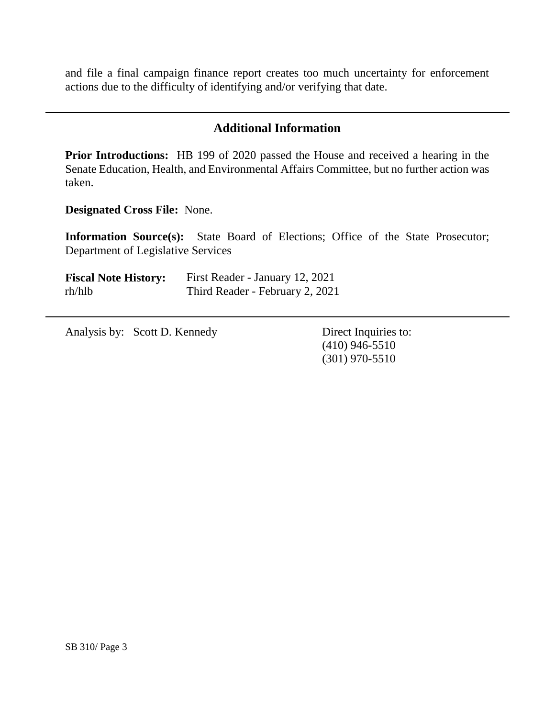and file a final campaign finance report creates too much uncertainty for enforcement actions due to the difficulty of identifying and/or verifying that date.

# **Additional Information**

**Prior Introductions:** HB 199 of 2020 passed the House and received a hearing in the Senate Education, Health, and Environmental Affairs Committee, but no further action was taken.

**Designated Cross File:** None.

**Information Source(s):** State Board of Elections; Office of the State Prosecutor; Department of Legislative Services

| <b>Fiscal Note History:</b> | First Reader - January 12, 2021 |
|-----------------------------|---------------------------------|
| rh/hlb                      | Third Reader - February 2, 2021 |

Analysis by: Scott D. Kennedy Direct Inquiries to:

(410) 946-5510 (301) 970-5510